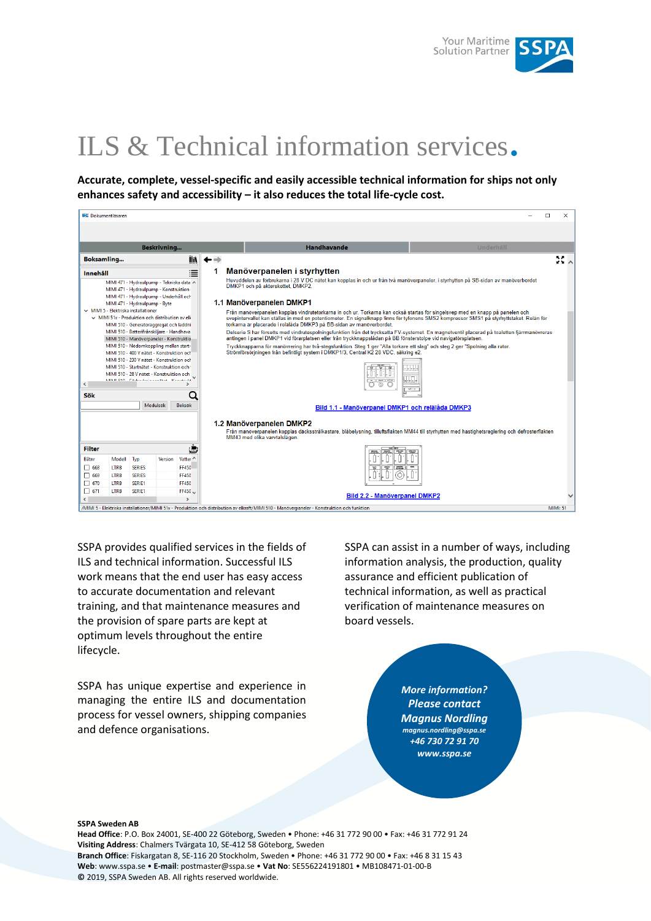

# ILS & Technical information services.

**Accurate, complete, vessel-specific and easily accessible technical information for ships not only enhances safety and accessibility – it also reduces the total life-cycle cost.**

|                                                        |                                                                                                                                                                                                                                                                                                                                                                                                                                                                                                                                                                                                                                                                                                                                                                                                      |                                          |  |                                                   |                                                                                                                                                                         | п                                                                                                                                                                                                                                                                                                                                                 | $\times$        |  |  |
|--------------------------------------------------------|------------------------------------------------------------------------------------------------------------------------------------------------------------------------------------------------------------------------------------------------------------------------------------------------------------------------------------------------------------------------------------------------------------------------------------------------------------------------------------------------------------------------------------------------------------------------------------------------------------------------------------------------------------------------------------------------------------------------------------------------------------------------------------------------------|------------------------------------------|--|---------------------------------------------------|-------------------------------------------------------------------------------------------------------------------------------------------------------------------------|---------------------------------------------------------------------------------------------------------------------------------------------------------------------------------------------------------------------------------------------------------------------------------------------------------------------------------------------------|-----------------|--|--|
|                                                        |                                                                                                                                                                                                                                                                                                                                                                                                                                                                                                                                                                                                                                                                                                                                                                                                      |                                          |  |                                                   |                                                                                                                                                                         |                                                                                                                                                                                                                                                                                                                                                   |                 |  |  |
| <b>Beskrivning</b>                                     |                                                                                                                                                                                                                                                                                                                                                                                                                                                                                                                                                                                                                                                                                                                                                                                                      |                                          |  |                                                   |                                                                                                                                                                         | <b>Handhavande</b><br>Underhåll                                                                                                                                                                                                                                                                                                                   |                 |  |  |
|                                                        |                                                                                                                                                                                                                                                                                                                                                                                                                                                                                                                                                                                                                                                                                                                                                                                                      |                                          |  | liñ                                               |                                                                                                                                                                         |                                                                                                                                                                                                                                                                                                                                                   | 33 A            |  |  |
| Innehåll                                               |                                                                                                                                                                                                                                                                                                                                                                                                                                                                                                                                                                                                                                                                                                                                                                                                      |                                          |  | 津                                                 |                                                                                                                                                                         | Manöverpanelen i styrhytten                                                                                                                                                                                                                                                                                                                       |                 |  |  |
|                                                        | <b>W2 Dokumentläsaren</b><br><b>Boksamling</b><br>MIMI 471 - Hydraulpump - Tekniska data A<br>MIMI 471 - Hydraulpump - Konstruktion<br>MIMI 471 - Hydraulpump - Underhåll och<br>MIMI 471 - Hydraulpump - Byte<br>$\vee$ MIMI 5 - Elektriska installationer<br>$\vee$ MIMI 51x - Produktion och distribution av elk<br>MIMI 510 - Generatoraggregat och laddni<br>MIMI 510 - Batterifrånskiljare - Handhava<br>MIMI 510 - Manöverpaneler - Konstruktio<br>MIMI 510 - Nödomkoppling mellan start-<br>MIMI 510 - 400 V nätet - Konstruktion och<br>MIMI 510 - 230 V nätet - Konstruktion och<br>MIMI 510 - Startnätet - Konstruktion och<br>MIMI 510 - 28 V nätet - Konstruktion och<br>KAIKAI CHA - Peutro distribuisceux - Museum da<br>Modulsök<br><b>Boksök</b><br>Modell<br>Typ<br><b>Version</b> |                                          |  |                                                   | Huvuddelen av förbrukarna i 28 V DC nätet kan kopplas in och ur från två manöverpaneler, i styrhytten på SB-sidan av manöverbordet<br>DMKP1 och på akterskottet, DMKP2. |                                                                                                                                                                                                                                                                                                                                                   |                 |  |  |
|                                                        |                                                                                                                                                                                                                                                                                                                                                                                                                                                                                                                                                                                                                                                                                                                                                                                                      |                                          |  |                                                   |                                                                                                                                                                         | 1.1 Manöverpanelen DMKP1                                                                                                                                                                                                                                                                                                                          |                 |  |  |
|                                                        |                                                                                                                                                                                                                                                                                                                                                                                                                                                                                                                                                                                                                                                                                                                                                                                                      |                                          |  |                                                   |                                                                                                                                                                         | Från manöverpanelen kopplas vindrutetorkarna in och ur. Torkarna kan också startas för singelsvep med en knapp på panelen och<br>svepintervallet kan ställas in med en potentiometer. En signalknapp finns för tyfonens SMS2 kompressor SMS1 på styrhyttstaket. Relän för<br>torkarna är placerade i relälåda DMKP3 på BB-sidan av manöverbordet. |                 |  |  |
|                                                        |                                                                                                                                                                                                                                                                                                                                                                                                                                                                                                                                                                                                                                                                                                                                                                                                      |                                          |  |                                                   |                                                                                                                                                                         | Delserie S har försetts med vindrutespolningsfunktion från det trycksatta FV-systemet. En magnetventil placerad på toaletten fjärrmanövreras<br>antingen i panel DMKP1 vid förarplatsen eller från tryckknappslådan på BB fönsterstolpe vid navigatörsplatsen.                                                                                    |                 |  |  |
|                                                        |                                                                                                                                                                                                                                                                                                                                                                                                                                                                                                                                                                                                                                                                                                                                                                                                      |                                          |  |                                                   |                                                                                                                                                                         | Tryckknapparna för manövrering har två-stegsfunktion. Steg 1 ger "Alla torkare ett slag" och steg 2 ger "Spolning alla rutor.<br>Strömförsöriningen från befintligt system i DMKP1/3, Central K2 28 VDC, säkring e2.<br>। ਦਾ ਵ                                                                                                                    |                 |  |  |
| $\langle$<br>Sök                                       |                                                                                                                                                                                                                                                                                                                                                                                                                                                                                                                                                                                                                                                                                                                                                                                                      |                                          |  |                                                   | $\frac{1}{2} \left[ \begin{array}{cc} \cos \theta & \cos \theta \\ \sin \theta & \cos \theta \end{array} \right]$<br>$\circledcirc$<br><b>ART 1-10</b>                  |                                                                                                                                                                                                                                                                                                                                                   |                 |  |  |
|                                                        |                                                                                                                                                                                                                                                                                                                                                                                                                                                                                                                                                                                                                                                                                                                                                                                                      |                                          |  |                                                   |                                                                                                                                                                         | Bild 1.1 - Manöverpanel DMKP1 och relälåda DMKP3                                                                                                                                                                                                                                                                                                  |                 |  |  |
|                                                        |                                                                                                                                                                                                                                                                                                                                                                                                                                                                                                                                                                                                                                                                                                                                                                                                      |                                          |  |                                                   |                                                                                                                                                                         | 1.2 Manöverpanelen DMKP2<br>Från manöverpanelen kopplas däcksstrålkastare, blåbelvsning, tilluftsfläkten MM44 till styrhytten med hastighetsreglering och defrosterfläkten<br>MM43 med olika varvtalslägen.                                                                                                                                       |                 |  |  |
| <b>Filter</b>                                          |                                                                                                                                                                                                                                                                                                                                                                                                                                                                                                                                                                                                                                                                                                                                                                                                      |                                          |  |                                                   |                                                                                                                                                                         |                                                                                                                                                                                                                                                                                                                                                   |                 |  |  |
| <b>Båtnr</b><br>$\Box$ 668<br>$\Box$ 669<br>$\Box$ 670 | <b>LTRB</b><br><b>LTRB</b><br><b>ITRB</b>                                                                                                                                                                                                                                                                                                                                                                                                                                                                                                                                                                                                                                                                                                                                                            | <b>SERIES</b><br><b>SERIES</b><br>SFRIF1 |  | Vatter ^<br><b>FF450</b><br><b>FF450</b><br>FF450 |                                                                                                                                                                         |                                                                                                                                                                                                                                                                                                                                                   |                 |  |  |
| $\Box$ 671<br>$\overline{\phantom{a}}$                 | <b>LTRB</b>                                                                                                                                                                                                                                                                                                                                                                                                                                                                                                                                                                                                                                                                                                                                                                                          | SERIE1                                   |  | FF450 U<br>$\overline{\phantom{a}}$               |                                                                                                                                                                         | <b>Bild 2.2 - Manöverpanel DMKP2</b>                                                                                                                                                                                                                                                                                                              |                 |  |  |
|                                                        |                                                                                                                                                                                                                                                                                                                                                                                                                                                                                                                                                                                                                                                                                                                                                                                                      |                                          |  |                                                   |                                                                                                                                                                         | /MIMI 5 - Elektriska installationer/MIMI 51x - Produktion och distribution av elkraft/MIMI 510 - Manöverpaneler - Konstruktion och funktion                                                                                                                                                                                                       | <b>MIMI: 51</b> |  |  |

SSPA provides qualified services in the fields of ILS and technical information. Successful ILS work means that the end user has easy access to accurate documentation and relevant training, and that maintenance measures and the provision of spare parts are kept at optimum levels throughout the entire lifecycle.

SSPA has unique expertise and experience in managing the entire ILS and documentation process for vessel owners, shipping companies and defence organisations.

SSPA can assist in a number of ways, including information analysis, the production, quality assurance and efficient publication of technical information, as well as practical verification of maintenance measures on board vessels.

> *More information? Please contact Magnus Nordling magnus.nordling@sspa.se +46 730 72 91 70 www.sspa.se*

#### **SSPA Sweden AB**

**Head Office**: P.O. Box 24001, SE-400 22 Göteborg, Sweden • Phone: +46 31 772 90 00 • Fax: +46 31 772 91 24 **Visiting Address**: Chalmers Tvärgata 10, SE-412 58 Göteborg, Sweden **Branch Office**: Fiskargatan 8, SE-116 20 Stockholm, Sweden • Phone: +46 31 772 90 00 • Fax: +46 8 31 15 43 **Web**: www.sspa.se • **E-mail**: postmaster@sspa.se • **Vat No**: SE556224191801 • MB108471-01-00-B **©** 2019, SSPA Sweden AB. All rights reserved worldwide.